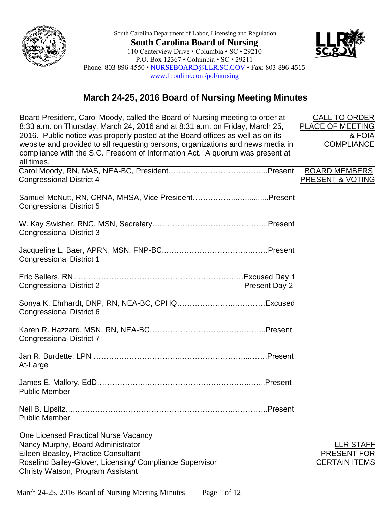



## **March 24-25, 2016 Board of Nursing Meeting Minutes**

| Board President, Carol Moody, called the Board of Nursing meeting to order at                                                                                   | <b>CALL TO ORDER</b>                       |
|-----------------------------------------------------------------------------------------------------------------------------------------------------------------|--------------------------------------------|
| $8:33$ a.m. on Thursday, March 24, 2016 and at 8:31 a.m. on Friday, March 25,<br>2016. Public notice was properly posted at the Board offices as well as on its | PLACE OF MEETING<br>& FOIA                 |
| website and provided to all requesting persons, organizations and news media in                                                                                 | <b>COMPLIANCE</b>                          |
| compliance with the S.C. Freedom of Information Act. A quorum was present at                                                                                    |                                            |
| all times.                                                                                                                                                      |                                            |
| <b>Congressional District 4</b>                                                                                                                                 | <b>BOARD MEMBERS</b><br>PRESENT & VOTING   |
|                                                                                                                                                                 |                                            |
| Samuel McNutt, RN, CRNA, MHSA, Vice PresidentPresent                                                                                                            |                                            |
| Congressional District 5                                                                                                                                        |                                            |
|                                                                                                                                                                 |                                            |
| Congressional District 3                                                                                                                                        |                                            |
|                                                                                                                                                                 |                                            |
| <b>Congressional District 1</b>                                                                                                                                 |                                            |
|                                                                                                                                                                 |                                            |
|                                                                                                                                                                 |                                            |
| Congressional District 2<br>Present Day 2                                                                                                                       |                                            |
|                                                                                                                                                                 |                                            |
| Congressional District 6                                                                                                                                        |                                            |
|                                                                                                                                                                 |                                            |
| <b>Congressional District 7</b>                                                                                                                                 |                                            |
|                                                                                                                                                                 |                                            |
|                                                                                                                                                                 |                                            |
| At-Large                                                                                                                                                        |                                            |
|                                                                                                                                                                 |                                            |
| <b>Public Member</b>                                                                                                                                            |                                            |
| .Present                                                                                                                                                        |                                            |
| Neil B. Lipsitz.<br>Public Member                                                                                                                               |                                            |
|                                                                                                                                                                 |                                            |
| One Licensed Practical Nurse Vacancy                                                                                                                            |                                            |
| Nancy Murphy, Board Administrator                                                                                                                               | <b>LLR STAFF</b>                           |
| Eileen Beasley, Practice Consultant<br>Roselind Bailey-Glover, Licensing/ Compliance Supervisor                                                                 | <b>PRESENT FOR</b><br><b>CERTAIN ITEMS</b> |
| Christy Watson, Program Assistant                                                                                                                               |                                            |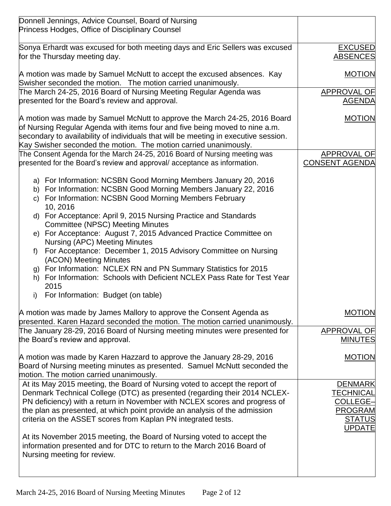| Donnell Jennings, Advice Counsel, Board of Nursing<br>Princess Hodges, Office of Disciplinary Counsel                                                                                                                                                                                                                                                                                 |                                                                                                    |
|---------------------------------------------------------------------------------------------------------------------------------------------------------------------------------------------------------------------------------------------------------------------------------------------------------------------------------------------------------------------------------------|----------------------------------------------------------------------------------------------------|
| Sonya Erhardt was excused for both meeting days and Eric Sellers was excused<br>for the Thursday meeting day.                                                                                                                                                                                                                                                                         | <b>EXCUSED</b><br><b>ABSENCES</b>                                                                  |
| A motion was made by Samuel McNutt to accept the excused absences. Kay<br>Swisher seconded the motion. The motion carried unanimously.                                                                                                                                                                                                                                                | <b>MOTION</b>                                                                                      |
| The March 24-25, 2016 Board of Nursing Meeting Regular Agenda was<br>presented for the Board's review and approval.                                                                                                                                                                                                                                                                   | <b>APPROVAL OF</b><br><b>AGENDA</b>                                                                |
| A motion was made by Samuel McNutt to approve the March 24-25, 2016 Board<br>of Nursing Regular Agenda with items four and five being moved to nine a.m.<br>secondary to availability of individuals that will be meeting in executive session.<br>Kay Swisher seconded the motion. The motion carried unanimously.                                                                   | <b>MOTION</b>                                                                                      |
| The Consent Agenda for the March 24-25, 2016 Board of Nursing meeting was<br>presented for the Board's review and approval/acceptance as information.                                                                                                                                                                                                                                 | APPROVAL OF<br><b>CONSENT AGENDA</b>                                                               |
| a) For Information: NCSBN Good Morning Members January 20, 2016<br>b) For Information: NCSBN Good Morning Members January 22, 2016<br>c) For Information: NCSBN Good Morning Members February<br>10, 2016                                                                                                                                                                             |                                                                                                    |
| d) For Acceptance: April 9, 2015 Nursing Practice and Standards<br><b>Committee (NPSC) Meeting Minutes</b>                                                                                                                                                                                                                                                                            |                                                                                                    |
| e) For Acceptance: August 7, 2015 Advanced Practice Committee on<br><b>Nursing (APC) Meeting Minutes</b>                                                                                                                                                                                                                                                                              |                                                                                                    |
| For Acceptance: December 1, 2015 Advisory Committee on Nursing<br>f<br>(ACON) Meeting Minutes                                                                                                                                                                                                                                                                                         |                                                                                                    |
| For Information: NCLEX RN and PN Summary Statistics for 2015<br>g)<br>For Information: Schools with Deficient NCLEX Pass Rate for Test Year<br>h)<br>2015                                                                                                                                                                                                                             |                                                                                                    |
| For Information: Budget (on table)<br>i)                                                                                                                                                                                                                                                                                                                                              |                                                                                                    |
| A motion was made by James Mallory to approve the Consent Agenda as<br>presented. Karen Hazard seconded the motion. The motion carried unanimously.                                                                                                                                                                                                                                   | <b>MOTION</b>                                                                                      |
| The January 28-29, 2016 Board of Nursing meeting minutes were presented for<br>the Board's review and approval.                                                                                                                                                                                                                                                                       | <b>APPROVAL OF</b><br><b>MINUTES</b>                                                               |
| A motion was made by Karen Hazzard to approve the January 28-29, 2016<br>Board of Nursing meeting minutes as presented. Samuel McNutt seconded the<br>motion. The motion carried unanimously.                                                                                                                                                                                         | <b>MOTION</b>                                                                                      |
| At its May 2015 meeting, the Board of Nursing voted to accept the report of<br>Denmark Technical College (DTC) as presented (regarding their 2014 NCLEX-<br>PN deficiency) with a return in November with NCLEX scores and progress of<br>the plan as presented, at which point provide an analysis of the admission<br>criteria on the ASSET scores from Kaplan PN integrated tests. | <b>DENMARK</b><br><b>TECHNICAL</b><br>COLLEGE-<br><b>PROGRAM</b><br><b>STATUS</b><br><b>UPDATE</b> |
| At its November 2015 meeting, the Board of Nursing voted to accept the<br>information presented and for DTC to return to the March 2016 Board of<br>Nursing meeting for review.                                                                                                                                                                                                       |                                                                                                    |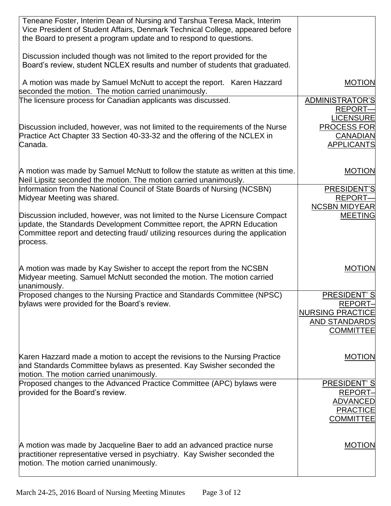| Teneane Foster, Interim Dean of Nursing and Tarshua Teresa Mack, Interim<br>Vice President of Student Affairs, Denmark Technical College, appeared before<br>the Board to present a program update and to respond to questions.                        |                                                                                                                     |
|--------------------------------------------------------------------------------------------------------------------------------------------------------------------------------------------------------------------------------------------------------|---------------------------------------------------------------------------------------------------------------------|
| Discussion included though was not limited to the report provided for the<br>Board's review, student NCLEX results and number of students that graduated.                                                                                              |                                                                                                                     |
| A motion was made by Samuel McNutt to accept the report. Karen Hazzard<br>seconded the motion. The motion carried unanimously.                                                                                                                         | <b>MOTION</b>                                                                                                       |
| The licensure process for Canadian applicants was discussed.<br>Discussion included, however, was not limited to the requirements of the Nurse<br>Practice Act Chapter 33 Section 40-33-32 and the offering of the NCLEX in<br>Canada.                 | ADMINISTRATOR'S<br><b>REPORT-</b><br><b>LICENSURE</b><br><b>PROCESS FOR</b><br><b>CANADIAN</b><br><b>APPLICANTS</b> |
| A motion was made by Samuel McNutt to follow the statute as written at this time.<br>Neil Lipsitz seconded the motion. The motion carried unanimously.                                                                                                 | <b>MOTION</b>                                                                                                       |
| Information from the National Council of State Boards of Nursing (NCSBN)<br>Midyear Meeting was shared.                                                                                                                                                | PRESIDENT'S<br><b>REPORT-</b><br><b>NCSBN MIDYEAR</b>                                                               |
| Discussion included, however, was not limited to the Nurse Licensure Compact<br>update, the Standards Development Committee report, the APRN Education<br>Committee report and detecting fraud/ utilizing resources during the application<br>process. | <b>MEETING</b>                                                                                                      |
| A motion was made by Kay Swisher to accept the report from the NCSBN<br>Midyear meeting. Samuel McNutt seconded the motion. The motion carried<br>unanimously.                                                                                         | <b>MOTION</b>                                                                                                       |
| Proposed changes to the Nursing Practice and Standards Committee (NPSC)<br>bylaws were provided for the Board's review.                                                                                                                                | PRESIDENT'S<br>REPORT-<br><b>NURSING PRACTICE</b><br>AND STANDARDS<br><b>COMMITTEE</b>                              |
| Karen Hazzard made a motion to accept the revisions to the Nursing Practice<br>and Standards Committee bylaws as presented. Kay Swisher seconded the<br>motion. The motion carried unanimously.                                                        | <b>MOTION</b>                                                                                                       |
| Proposed changes to the Advanced Practice Committee (APC) bylaws were<br>provided for the Board's review.                                                                                                                                              | PRESIDENT'S<br><b>REPORT-</b><br><b>ADVANCED</b><br><b>PRACTICE</b><br><b>COMMITTEE</b>                             |
| A motion was made by Jacqueline Baer to add an advanced practice nurse<br>practitioner representative versed in psychiatry. Kay Swisher seconded the<br>motion. The motion carried unanimously.                                                        | <b>MOTION</b>                                                                                                       |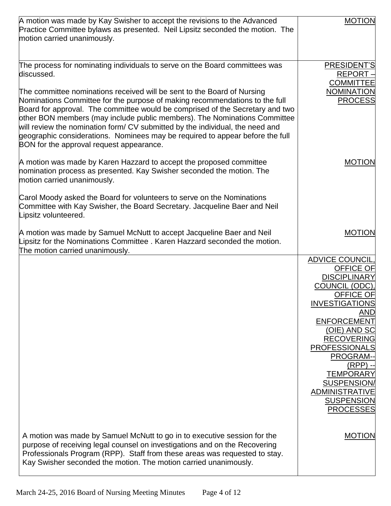| A motion was made by Kay Swisher to accept the revisions to the Advanced<br>Practice Committee bylaws as presented. Neil Lipsitz seconded the motion. The<br>motion carried unanimously.                                                                                                                                                                                                                                                                                                                                                                                                                                        | <b>MOTION</b>                                                                                                                                                                                                                                                                                                                             |
|---------------------------------------------------------------------------------------------------------------------------------------------------------------------------------------------------------------------------------------------------------------------------------------------------------------------------------------------------------------------------------------------------------------------------------------------------------------------------------------------------------------------------------------------------------------------------------------------------------------------------------|-------------------------------------------------------------------------------------------------------------------------------------------------------------------------------------------------------------------------------------------------------------------------------------------------------------------------------------------|
| The process for nominating individuals to serve on the Board committees was<br>discussed.<br>The committee nominations received will be sent to the Board of Nursing<br>Nominations Committee for the purpose of making recommendations to the full<br>Board for approval. The committee would be comprised of the Secretary and two<br>other BON members (may include public members). The Nominations Committee<br>will review the nomination form/ CV submitted by the individual, the need and<br>geographic considerations. Nominees may be required to appear before the full<br>BON for the approval request appearance. | PRESIDENT'S<br>REPORT-<br><b>COMMITTEE</b><br><b>NOMINATION</b><br><b>PROCESS</b>                                                                                                                                                                                                                                                         |
| A motion was made by Karen Hazzard to accept the proposed committee<br>nomination process as presented. Kay Swisher seconded the motion. The<br>motion carried unanimously.<br>Carol Moody asked the Board for volunteers to serve on the Nominations<br>Committee with Kay Swisher, the Board Secretary. Jacqueline Baer and Neil<br>Lipsitz volunteered.                                                                                                                                                                                                                                                                      | <b>MOTION</b>                                                                                                                                                                                                                                                                                                                             |
| A motion was made by Samuel McNutt to accept Jacqueline Baer and Neil<br>Lipsitz for the Nominations Committee. Karen Hazzard seconded the motion.<br>The motion carried unanimously.                                                                                                                                                                                                                                                                                                                                                                                                                                           | <b>MOTION</b>                                                                                                                                                                                                                                                                                                                             |
|                                                                                                                                                                                                                                                                                                                                                                                                                                                                                                                                                                                                                                 | <b>ADVICE COUNCIL</b><br>OFFICE OF<br><b>DISCIPLINARY</b><br>COUNCIL (ODC),<br><b>OFFICE OF</b><br><b>INVESTIGATIONS</b><br>AND<br>ENFORCEMENT<br>(OIE) AND SC<br><b>RECOVERING</b><br><b>PROFESSIONALS</b><br>PROGRAM--<br>(RPP) --<br><b>TEMPORARY</b><br>SUSPENSION/<br><b>ADMINISTRATIVE</b><br><b>SUSPENSION</b><br><b>PROCESSES</b> |
| A motion was made by Samuel McNutt to go in to executive session for the<br>purpose of receiving legal counsel on investigations and on the Recovering<br>Professionals Program (RPP). Staff from these areas was requested to stay.<br>Kay Swisher seconded the motion. The motion carried unanimously.                                                                                                                                                                                                                                                                                                                        | <b>MOTION</b>                                                                                                                                                                                                                                                                                                                             |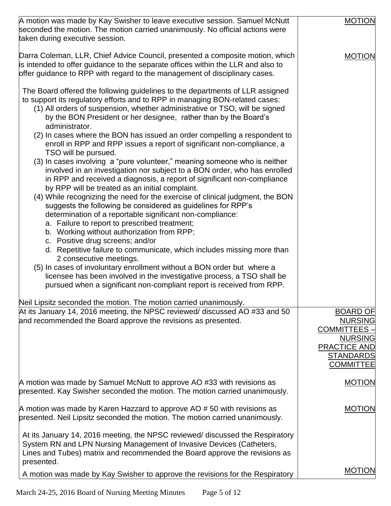| A motion was made by Kay Swisher to leave executive session. Samuel McNutt<br>seconded the motion. The motion carried unanimously. No official actions were<br>taken during executive session.                                                                                                                                                                                                                                                                                                                                                                                                                                                                                                                                                                                                                                                                                                                                                                                                                         | <b>MOTION</b>                                                                                                                             |
|------------------------------------------------------------------------------------------------------------------------------------------------------------------------------------------------------------------------------------------------------------------------------------------------------------------------------------------------------------------------------------------------------------------------------------------------------------------------------------------------------------------------------------------------------------------------------------------------------------------------------------------------------------------------------------------------------------------------------------------------------------------------------------------------------------------------------------------------------------------------------------------------------------------------------------------------------------------------------------------------------------------------|-------------------------------------------------------------------------------------------------------------------------------------------|
| Darra Coleman, LLR, Chief Advice Council, presented a composite motion, which<br>is intended to offer guidance to the separate offices within the LLR and also to<br>offer guidance to RPP with regard to the management of disciplinary cases.                                                                                                                                                                                                                                                                                                                                                                                                                                                                                                                                                                                                                                                                                                                                                                        | <b>MOTION</b>                                                                                                                             |
| The Board offered the following guidelines to the departments of LLR assigned<br>to support its regulatory efforts and to RPP in managing BON-related cases:<br>(1) All orders of suspension, whether administrative or TSO, will be signed<br>by the BON President or her designee, rather than by the Board's<br>administrator.<br>(2) In cases where the BON has issued an order compelling a respondent to<br>enroll in RPP and RPP issues a report of significant non-compliance, a<br>TSO will be pursued.<br>(3) In cases involving a "pure volunteer," meaning someone who is neither<br>involved in an investigation nor subject to a BON order, who has enrolled<br>in RPP and received a diagnosis, a report of significant non-compliance<br>by RPP will be treated as an initial complaint.<br>(4) While recognizing the need for the exercise of clinical judgment, the BON<br>suggests the following be considered as guidelines for RPP's<br>determination of a reportable significant non-compliance: |                                                                                                                                           |
| a. Failure to report to prescribed treatment;<br>b. Working without authorization from RPP;<br>c. Positive drug screens; and/or<br>d. Repetitive failure to communicate, which includes missing more than<br>2 consecutive meetings.<br>(5) In cases of involuntary enrollment without a BON order but where a<br>licensee has been involved in the investigative process, a TSO shall be<br>pursued when a significant non-compliant report is received from RPP.                                                                                                                                                                                                                                                                                                                                                                                                                                                                                                                                                     |                                                                                                                                           |
| Neil Lipsitz seconded the motion. The motion carried unanimously.<br>At its January 14, 2016 meeting, the NPSC reviewed/ discussed AO #33 and 50<br>and recommended the Board approve the revisions as presented.                                                                                                                                                                                                                                                                                                                                                                                                                                                                                                                                                                                                                                                                                                                                                                                                      | <b>BOARD OF</b><br><b>NURSING</b><br><b>COMMITTEES -</b><br><b>NURSING</b><br><b>PRACTICE AND</b><br><b>STANDARDS</b><br><b>COMMITTEE</b> |
| A motion was made by Samuel McNutt to approve AO #33 with revisions as<br>presented. Kay Swisher seconded the motion. The motion carried unanimously.                                                                                                                                                                                                                                                                                                                                                                                                                                                                                                                                                                                                                                                                                                                                                                                                                                                                  | <b>MOTION</b>                                                                                                                             |
| A motion was made by Karen Hazzard to approve AO # 50 with revisions as<br>presented. Neil Lipsitz seconded the motion. The motion carried unanimously.<br>At its January 14, 2016 meeting, the NPSC reviewed/ discussed the Respiratory                                                                                                                                                                                                                                                                                                                                                                                                                                                                                                                                                                                                                                                                                                                                                                               | <b>MOTION</b>                                                                                                                             |
| System RN and LPN Nursing Management of Invasive Devices (Catheters,<br>Lines and Tubes) matrix and recommended the Board approve the revisions as<br>presented.                                                                                                                                                                                                                                                                                                                                                                                                                                                                                                                                                                                                                                                                                                                                                                                                                                                       |                                                                                                                                           |
| A motion was made by Kay Swisher to approve the revisions for the Respiratory                                                                                                                                                                                                                                                                                                                                                                                                                                                                                                                                                                                                                                                                                                                                                                                                                                                                                                                                          | <b>MOTION</b>                                                                                                                             |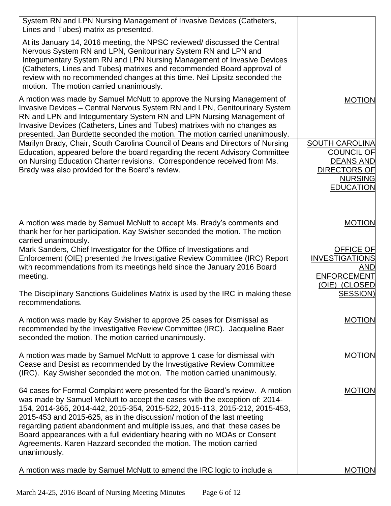| System RN and LPN Nursing Management of Invasive Devices (Catheters,<br>Lines and Tubes) matrix as presented.                                                                                                                                                                                                                                                                                                                                                                                                                                                         |                                                                                                                             |
|-----------------------------------------------------------------------------------------------------------------------------------------------------------------------------------------------------------------------------------------------------------------------------------------------------------------------------------------------------------------------------------------------------------------------------------------------------------------------------------------------------------------------------------------------------------------------|-----------------------------------------------------------------------------------------------------------------------------|
| At its January 14, 2016 meeting, the NPSC reviewed/ discussed the Central<br>Nervous System RN and LPN, Genitourinary System RN and LPN and<br>Integumentary System RN and LPN Nursing Management of Invasive Devices<br>(Catheters, Lines and Tubes) matrixes and recommended Board approval of<br>review with no recommended changes at this time. Neil Lipsitz seconded the<br>motion. The motion carried unanimously.                                                                                                                                             |                                                                                                                             |
| A motion was made by Samuel McNutt to approve the Nursing Management of<br>Invasive Devices - Central Nervous System RN and LPN, Genitourinary System<br>RN and LPN and Integumentary System RN and LPN Nursing Management of<br>Invasive Devices (Catheters, Lines and Tubes) matrixes with no changes as<br>presented. Jan Burdette seconded the motion. The motion carried unanimously.                                                                                                                                                                            | <b>MOTION</b>                                                                                                               |
| Marilyn Brady, Chair, South Carolina Council of Deans and Directors of Nursing<br>Education, appeared before the board regarding the recent Advisory Committee<br>on Nursing Education Charter revisions. Correspondence received from Ms.<br>Brady was also provided for the Board's review.                                                                                                                                                                                                                                                                         | <b>SOUTH CAROLINA</b><br><b>COUNCIL OF</b><br><b>DEANS AND</b><br><b>DIRECTORS OF</b><br><b>NURSING</b><br><b>EDUCATION</b> |
| A motion was made by Samuel McNutt to accept Ms. Brady's comments and<br>thank her for her participation. Kay Swisher seconded the motion. The motion<br>carried unanimously.                                                                                                                                                                                                                                                                                                                                                                                         | <b>MOTION</b>                                                                                                               |
| Mark Sanders, Chief Investigator for the Office of Investigations and<br>Enforcement (OIE) presented the Investigative Review Committee (IRC) Report<br>with recommendations from its meetings held since the January 2016 Board<br>meeting.                                                                                                                                                                                                                                                                                                                          | <b>OFFICE OF</b><br><b>INVESTIGATIONS</b><br>AND<br><b>ENFORCEMENT</b><br>(OIE) (CLOSED                                     |
| The Disciplinary Sanctions Guidelines Matrix is used by the IRC in making these<br>recommendations.                                                                                                                                                                                                                                                                                                                                                                                                                                                                   | SESSION)                                                                                                                    |
| A motion was made by Kay Swisher to approve 25 cases for Dismissal as<br>recommended by the Investigative Review Committee (IRC). Jacqueline Baer<br>seconded the motion. The motion carried unanimously.                                                                                                                                                                                                                                                                                                                                                             | <b>MOTION</b>                                                                                                               |
| A motion was made by Samuel McNutt to approve 1 case for dismissal with<br>Cease and Desist as recommended by the Investigative Review Committee<br>(IRC). Kay Swisher seconded the motion. The motion carried unanimously.                                                                                                                                                                                                                                                                                                                                           | <b>MOTION</b>                                                                                                               |
| 64 cases for Formal Complaint were presented for the Board's review. A motion<br>was made by Samuel McNutt to accept the cases with the exception of: 2014-<br> 154, 2014-365, 2014-442, 2015-354, 2015-522, 2015-113, 2015-212, 2015-453,<br>2015-453 and 2015-625, as in the discussion/ motion of the last meeting<br>regarding patient abandonment and multiple issues, and that these cases be<br>Board appearances with a full evidentiary hearing with no MOAs or Consent<br>Agreements. Karen Hazzard seconded the motion. The motion carried<br>unanimously. | <b>MOTION</b>                                                                                                               |
| A motion was made by Samuel McNutt to amend the IRC logic to include a                                                                                                                                                                                                                                                                                                                                                                                                                                                                                                | <b>MOTION</b>                                                                                                               |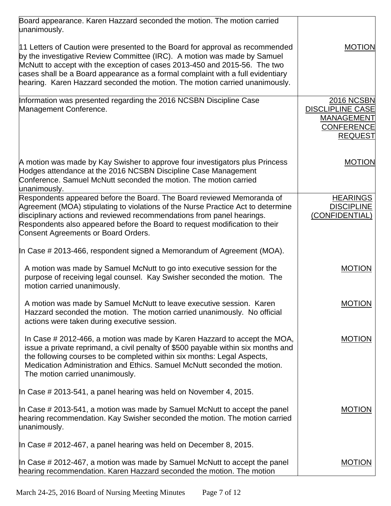| Board appearance. Karen Hazzard seconded the motion. The motion carried<br>unanimously.                                                                                                                                                                                                                                                                                                                   |                                                                                                          |
|-----------------------------------------------------------------------------------------------------------------------------------------------------------------------------------------------------------------------------------------------------------------------------------------------------------------------------------------------------------------------------------------------------------|----------------------------------------------------------------------------------------------------------|
| 11 Letters of Caution were presented to the Board for approval as recommended<br>by the investigative Review Committee (IRC). A motion was made by Samuel<br>McNutt to accept with the exception of cases 2013-450 and 2015-56. The two<br>cases shall be a Board appearance as a formal complaint with a full evidentiary<br>hearing. Karen Hazzard seconded the motion. The motion carried unanimously. | <b>MOTION</b>                                                                                            |
| Information was presented regarding the 2016 NCSBN Discipline Case<br>Management Conference.                                                                                                                                                                                                                                                                                                              | <b>2016 NCSBN</b><br><b>DISCLIPLINE CASE</b><br><b>MANAGEMENT</b><br><b>CONFERENCE</b><br><b>REQUEST</b> |
| A motion was made by Kay Swisher to approve four investigators plus Princess<br>Hodges attendance at the 2016 NCSBN Discipline Case Management<br>Conference. Samuel McNutt seconded the motion. The motion carried<br>unanimously.                                                                                                                                                                       | <b>MOTION</b>                                                                                            |
| Respondents appeared before the Board. The Board reviewed Memoranda of<br>Agreement (MOA) stipulating to violations of the Nurse Practice Act to determine<br>disciplinary actions and reviewed recommendations from panel hearings.<br>Respondents also appeared before the Board to request modification to their<br>Consent Agreements or Board Orders.                                                | <b>HEARINGS</b><br><b>DISCIPLINE</b><br>(CONFIDENTIAL)                                                   |
| In Case # 2013-466, respondent signed a Memorandum of Agreement (MOA).                                                                                                                                                                                                                                                                                                                                    |                                                                                                          |
| A motion was made by Samuel McNutt to go into executive session for the<br>purpose of receiving legal counsel. Kay Swisher seconded the motion. The<br>motion carried unanimously.                                                                                                                                                                                                                        | <b>MOTION</b>                                                                                            |
| A motion was made by Samuel McNutt to leave executive session. Karen<br>Hazzard seconded the motion. The motion carried unanimously. No official<br>actions were taken during executive session.                                                                                                                                                                                                          | <b>MOTION</b>                                                                                            |
| In Case # 2012-466, a motion was made by Karen Hazzard to accept the MOA,<br>issue a private reprimand, a civil penalty of \$500 payable within six months and<br>the following courses to be completed within six months: Legal Aspects,<br>Medication Administration and Ethics. Samuel McNutt seconded the motion.<br>The motion carried unanimously.                                                  | <b>MOTION</b>                                                                                            |
| In Case # 2013-541, a panel hearing was held on November 4, 2015.                                                                                                                                                                                                                                                                                                                                         |                                                                                                          |
| In Case $\#$ 2013-541, a motion was made by Samuel McNutt to accept the panel<br>hearing recommendation. Kay Swisher seconded the motion. The motion carried<br>unanimously.                                                                                                                                                                                                                              | <b>MOTION</b>                                                                                            |
| In Case # 2012-467, a panel hearing was held on December 8, 2015.                                                                                                                                                                                                                                                                                                                                         |                                                                                                          |
| In Case $\#$ 2012-467, a motion was made by Samuel McNutt to accept the panel<br>hearing recommendation. Karen Hazzard seconded the motion. The motion                                                                                                                                                                                                                                                    | <b>MOTION</b>                                                                                            |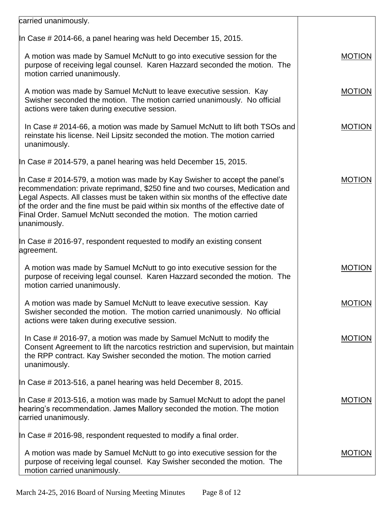| carried unanimously.                                                                                                                                                                                                                                                                                                                                                                                                       |               |
|----------------------------------------------------------------------------------------------------------------------------------------------------------------------------------------------------------------------------------------------------------------------------------------------------------------------------------------------------------------------------------------------------------------------------|---------------|
| In Case # 2014-66, a panel hearing was held December 15, 2015.                                                                                                                                                                                                                                                                                                                                                             |               |
| A motion was made by Samuel McNutt to go into executive session for the<br>purpose of receiving legal counsel. Karen Hazzard seconded the motion. The<br>motion carried unanimously.                                                                                                                                                                                                                                       | <b>MOTION</b> |
| A motion was made by Samuel McNutt to leave executive session. Kay<br>Swisher seconded the motion. The motion carried unanimously. No official<br>actions were taken during executive session.                                                                                                                                                                                                                             | <b>MOTION</b> |
| In Case # 2014-66, a motion was made by Samuel McNutt to lift both TSOs and<br>reinstate his license. Neil Lipsitz seconded the motion. The motion carried<br>unanimously.                                                                                                                                                                                                                                                 | <b>MOTION</b> |
| In Case # 2014-579, a panel hearing was held December 15, 2015.                                                                                                                                                                                                                                                                                                                                                            |               |
| In Case # 2014-579, a motion was made by Kay Swisher to accept the panel's<br>recommendation: private reprimand, \$250 fine and two courses, Medication and<br>Legal Aspects. All classes must be taken within six months of the effective date<br>of the order and the fine must be paid within six months of the effective date of<br>Final Order. Samuel McNutt seconded the motion. The motion carried<br>unanimously. | <b>MOTION</b> |
| In Case # 2016-97, respondent requested to modify an existing consent<br>agreement.                                                                                                                                                                                                                                                                                                                                        |               |
| A motion was made by Samuel McNutt to go into executive session for the<br>purpose of receiving legal counsel. Karen Hazzard seconded the motion. The<br>motion carried unanimously.                                                                                                                                                                                                                                       | <b>MOTION</b> |
| A motion was made by Samuel McNutt to leave executive session. Kay<br>Swisher seconded the motion. The motion carried unanimously. No official<br>actions were taken during executive session.                                                                                                                                                                                                                             | <b>MOTION</b> |
| In Case # 2016-97, a motion was made by Samuel McNutt to modify the<br>Consent Agreement to lift the narcotics restriction and supervision, but maintain<br>the RPP contract. Kay Swisher seconded the motion. The motion carried<br>unanimously.                                                                                                                                                                          | <b>MOTION</b> |
| In Case # 2013-516, a panel hearing was held December 8, 2015.                                                                                                                                                                                                                                                                                                                                                             |               |
| In Case # 2013-516, a motion was made by Samuel McNutt to adopt the panel<br>hearing's recommendation. James Mallory seconded the motion. The motion<br>carried unanimously.                                                                                                                                                                                                                                               | <b>MOTION</b> |
| In Case $\#$ 2016-98, respondent requested to modify a final order.                                                                                                                                                                                                                                                                                                                                                        |               |
| A motion was made by Samuel McNutt to go into executive session for the<br>purpose of receiving legal counsel. Kay Swisher seconded the motion. The<br>motion carried unanimously.                                                                                                                                                                                                                                         | <b>MOTION</b> |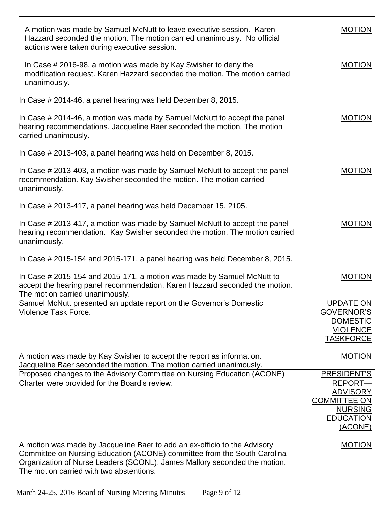| A motion was made by Samuel McNutt to leave executive session. Karen<br>Hazzard seconded the motion. The motion carried unanimously. No official<br>actions were taken during executive session.                                                                               | <b>MOTION</b>                                                                                                     |
|--------------------------------------------------------------------------------------------------------------------------------------------------------------------------------------------------------------------------------------------------------------------------------|-------------------------------------------------------------------------------------------------------------------|
| In Case # 2016-98, a motion was made by Kay Swisher to deny the<br>modification request. Karen Hazzard seconded the motion. The motion carried<br>unanimously.                                                                                                                 | <b>MOTION</b>                                                                                                     |
| In Case # 2014-46, a panel hearing was held December 8, 2015.                                                                                                                                                                                                                  |                                                                                                                   |
| In Case # 2014-46, a motion was made by Samuel McNutt to accept the panel<br>hearing recommendations. Jacqueline Baer seconded the motion. The motion<br>carried unanimously.                                                                                                  | <b>MOTION</b>                                                                                                     |
| In Case # 2013-403, a panel hearing was held on December 8, 2015.                                                                                                                                                                                                              |                                                                                                                   |
| In Case # 2013-403, a motion was made by Samuel McNutt to accept the panel<br>recommendation. Kay Swisher seconded the motion. The motion carried<br>unanimously.                                                                                                              | <b>MOTION</b>                                                                                                     |
| In Case # 2013-417, a panel hearing was held December 15, 2105.                                                                                                                                                                                                                |                                                                                                                   |
| In Case # 2013-417, a motion was made by Samuel McNutt to accept the panel<br>hearing recommendation. Kay Swisher seconded the motion. The motion carried<br>unanimously.                                                                                                      | <b>MOTION</b>                                                                                                     |
| In Case # 2015-154 and 2015-171, a panel hearing was held December 8, 2015.                                                                                                                                                                                                    |                                                                                                                   |
| In Case # 2015-154 and 2015-171, a motion was made by Samuel McNutt to<br>accept the hearing panel recommendation. Karen Hazzard seconded the motion.<br>The motion carried unanimously.                                                                                       | <b>MOTION</b>                                                                                                     |
| Samuel McNutt presented an update report on the Governor's Domestic<br><b>Niolence Task Force.</b>                                                                                                                                                                             | <b>UPDATE ON</b><br>GOVERNOR'S<br><b>DOMESTIC</b><br><b>VIOLENCE</b><br><b>TASKFORCE</b>                          |
| A motion was made by Kay Swisher to accept the report as information.<br>Jacqueline Baer seconded the motion. The motion carried unanimously.                                                                                                                                  | <b>MOTION</b>                                                                                                     |
| Proposed changes to the Advisory Committee on Nursing Education (ACONE)<br>Charter were provided for the Board's review.                                                                                                                                                       | PRESIDENT'S<br>REPORT-<br><b>ADVISORY</b><br><b>COMMITTEE ON</b><br><b>NURSING</b><br><b>EDUCATION</b><br>(ACONE) |
| A motion was made by Jacqueline Baer to add an ex-officio to the Advisory<br>Committee on Nursing Education (ACONE) committee from the South Carolina<br>Organization of Nurse Leaders (SCONL). James Mallory seconded the motion.<br>The motion carried with two abstentions. | <b>MOTION</b>                                                                                                     |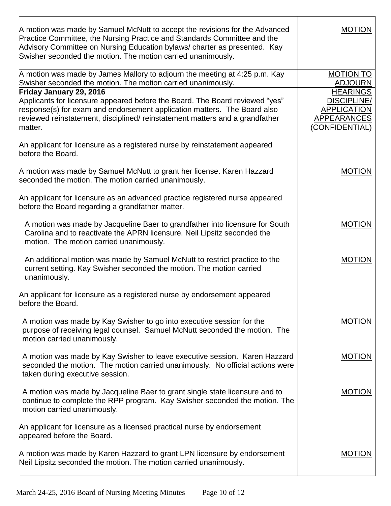| A motion was made by Samuel McNutt to accept the revisions for the Advanced<br>Practice Committee, the Nursing Practice and Standards Committee and the<br>Advisory Committee on Nursing Education bylaws/ charter as presented. Kay<br>Swisher seconded the motion. The motion carried unanimously. | <b>MOTION</b>                                                                                       |
|------------------------------------------------------------------------------------------------------------------------------------------------------------------------------------------------------------------------------------------------------------------------------------------------------|-----------------------------------------------------------------------------------------------------|
| A motion was made by James Mallory to adjourn the meeting at 4:25 p.m. Kay                                                                                                                                                                                                                           | <b>MOTION TO</b>                                                                                    |
| Swisher seconded the motion. The motion carried unanimously.                                                                                                                                                                                                                                         | <b>ADJOURN</b>                                                                                      |
| Friday January 29, 2016<br>Applicants for licensure appeared before the Board. The Board reviewed "yes"<br>response(s) for exam and endorsement application matters. The Board also<br>reviewed reinstatement, disciplined/ reinstatement matters and a grandfather<br>matter.                       | <b>HEARINGS</b><br><b>DISCIPLINE/</b><br><b>APPLICATION</b><br><b>APPEARANCES</b><br>(CONFIDENTIAL) |
| An applicant for licensure as a registered nurse by reinstatement appeared<br>before the Board.                                                                                                                                                                                                      |                                                                                                     |
| A motion was made by Samuel McNutt to grant her license. Karen Hazzard<br>seconded the motion. The motion carried unanimously.                                                                                                                                                                       | <b>MOTION</b>                                                                                       |
| An applicant for licensure as an advanced practice registered nurse appeared<br>before the Board regarding a grandfather matter.                                                                                                                                                                     |                                                                                                     |
| A motion was made by Jacqueline Baer to grandfather into licensure for South<br>Carolina and to reactivate the APRN licensure. Neil Lipsitz seconded the<br>motion. The motion carried unanimously.                                                                                                  | <b>MOTION</b>                                                                                       |
| An additional motion was made by Samuel McNutt to restrict practice to the<br>current setting. Kay Swisher seconded the motion. The motion carried<br>unanimously.                                                                                                                                   | <b>MOTION</b>                                                                                       |
| An applicant for licensure as a registered nurse by endorsement appeared<br>before the Board.                                                                                                                                                                                                        |                                                                                                     |
| A motion was made by Kay Swisher to go into executive session for the<br>purpose of receiving legal counsel. Samuel McNutt seconded the motion. The<br>motion carried unanimously.                                                                                                                   | <b>MOTION</b>                                                                                       |
| A motion was made by Kay Swisher to leave executive session. Karen Hazzard<br>seconded the motion. The motion carried unanimously. No official actions were<br>taken during executive session.                                                                                                       | <b>MOTION</b>                                                                                       |
| A motion was made by Jacqueline Baer to grant single state licensure and to<br>continue to complete the RPP program. Kay Swisher seconded the motion. The<br>motion carried unanimously.                                                                                                             | <b>MOTION</b>                                                                                       |
| An applicant for licensure as a licensed practical nurse by endorsement<br>appeared before the Board.                                                                                                                                                                                                |                                                                                                     |
| A motion was made by Karen Hazzard to grant LPN licensure by endorsement<br>Neil Lipsitz seconded the motion. The motion carried unanimously.                                                                                                                                                        | <b>MOTION</b>                                                                                       |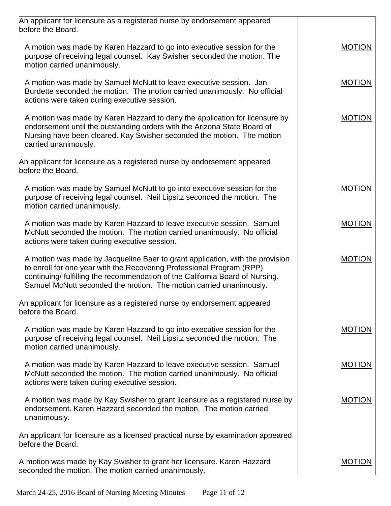| An applicant for licensure as a registered nurse by endorsement appeared<br>before the Board.                                                                                                                                                                                                                 |               |
|---------------------------------------------------------------------------------------------------------------------------------------------------------------------------------------------------------------------------------------------------------------------------------------------------------------|---------------|
| A motion was made by Karen Hazzard to go into executive session for the<br>purpose of receiving legal counsel. Kay Swisher seconded the motion. The<br>motion carried unanimously.                                                                                                                            | <b>MOTION</b> |
| A motion was made by Samuel McNutt to leave executive session. Jan<br>Burdette seconded the motion. The motion carried unanimously. No official<br>actions were taken during executive session.                                                                                                               | <b>MOTION</b> |
| A motion was made by Karen Hazzard to deny the application for licensure by<br>endorsement until the outstanding orders with the Arizona State Board of<br>Nursing have been cleared. Kay Swisher seconded the motion. The motion<br>carried unanimously.                                                     | <b>MOTION</b> |
| An applicant for licensure as a registered nurse by endorsement appeared<br>before the Board.                                                                                                                                                                                                                 |               |
| A motion was made by Samuel McNutt to go into executive session for the<br>purpose of receiving legal counsel. Neil Lipsitz seconded the motion. The<br>motion carried unanimously.                                                                                                                           | <b>MOTION</b> |
| A motion was made by Karen Hazzard to leave executive session. Samuel<br>McNutt seconded the motion. The motion carried unanimously. No official<br>actions were taken during executive session.                                                                                                              | <b>MOTION</b> |
| A motion was made by Jacqueline Baer to grant application, with the provision<br>to enroll for one year with the Recovering Professional Program (RPP)<br>continuing/ fulfilling the recommendation of the California Board of Nursing.<br>Samuel McNutt seconded the motion. The motion carried unanimously. | <b>MOTION</b> |
| An applicant for licensure as a registered nurse by endorsement appeared<br>before the Board.                                                                                                                                                                                                                 |               |
| A motion was made by Karen Hazzard to go into executive session for the<br>purpose of receiving legal counsel. Neil Lipsitz seconded the motion. The<br>motion carried unanimously.                                                                                                                           | <b>MOTION</b> |
| A motion was made by Karen Hazzard to leave executive session. Samuel<br>McNutt seconded the motion. The motion carried unanimously. No official<br>actions were taken during executive session.                                                                                                              | <b>MOTION</b> |
| A motion was made by Kay Swisher to grant licensure as a registered nurse by<br>endorsement. Karen Hazzard seconded the motion. The motion carried<br>unanimously.                                                                                                                                            | <b>MOTION</b> |
| An applicant for licensure as a licensed practical nurse by examination appeared<br>before the Board.                                                                                                                                                                                                         |               |
| A motion was made by Kay Swisher to grant her licensure. Karen Hazzard<br>seconded the motion. The motion carried unanimously.                                                                                                                                                                                | <b>MOTION</b> |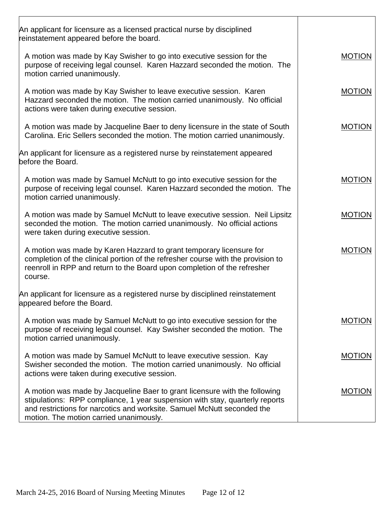| An applicant for licensure as a licensed practical nurse by disciplined<br>reinstatement appeared before the board.                                                                                                                                                              |               |
|----------------------------------------------------------------------------------------------------------------------------------------------------------------------------------------------------------------------------------------------------------------------------------|---------------|
| A motion was made by Kay Swisher to go into executive session for the<br>purpose of receiving legal counsel. Karen Hazzard seconded the motion. The<br>motion carried unanimously.                                                                                               | <b>MOTION</b> |
| A motion was made by Kay Swisher to leave executive session. Karen<br>Hazzard seconded the motion. The motion carried unanimously. No official<br>actions were taken during executive session.                                                                                   | <b>MOTION</b> |
| A motion was made by Jacqueline Baer to deny licensure in the state of South<br>Carolina. Eric Sellers seconded the motion. The motion carried unanimously.                                                                                                                      | <b>MOTION</b> |
| An applicant for licensure as a registered nurse by reinstatement appeared<br>before the Board.                                                                                                                                                                                  |               |
| A motion was made by Samuel McNutt to go into executive session for the<br>purpose of receiving legal counsel. Karen Hazzard seconded the motion. The<br>motion carried unanimously.                                                                                             | <b>MOTION</b> |
| A motion was made by Samuel McNutt to leave executive session. Neil Lipsitz<br>seconded the motion. The motion carried unanimously. No official actions<br>were taken during executive session.                                                                                  | <b>MOTION</b> |
| A motion was made by Karen Hazzard to grant temporary licensure for<br>completion of the clinical portion of the refresher course with the provision to<br>reenroll in RPP and return to the Board upon completion of the refresher<br>course.                                   | <b>MOTION</b> |
| An applicant for licensure as a registered nurse by disciplined reinstatement<br>appeared before the Board.                                                                                                                                                                      |               |
| A motion was made by Samuel McNutt to go into executive session for the<br>purpose of receiving legal counsel. Kay Swisher seconded the motion. The<br>motion carried unanimously.                                                                                               | <b>MOTION</b> |
| A motion was made by Samuel McNutt to leave executive session. Kay<br>Swisher seconded the motion. The motion carried unanimously. No official<br>actions were taken during executive session.                                                                                   | <b>MOTION</b> |
| A motion was made by Jacqueline Baer to grant licensure with the following<br>stipulations: RPP compliance, 1 year suspension with stay, quarterly reports<br>and restrictions for narcotics and worksite. Samuel McNutt seconded the<br>motion. The motion carried unanimously. | <b>MOTION</b> |